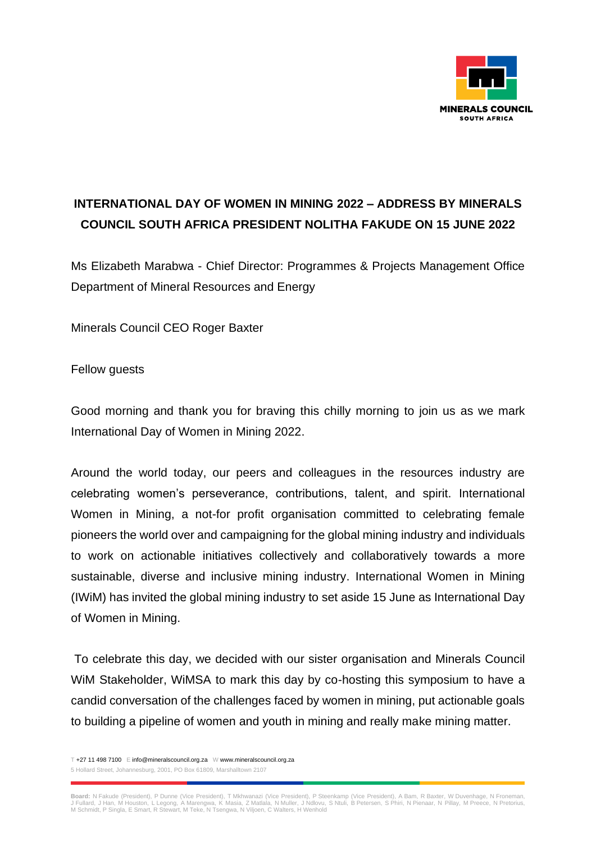

## **INTERNATIONAL DAY OF WOMEN IN MINING 2022 – ADDRESS BY MINERALS COUNCIL SOUTH AFRICA PRESIDENT NOLITHA FAKUDE ON 15 JUNE 2022**

Ms Elizabeth Marabwa - Chief Director: Programmes & Projects Management Office Department of Mineral Resources and Energy

Minerals Council CEO Roger Baxter

## Fellow guests

Good morning and thank you for braving this chilly morning to join us as we mark International Day of Women in Mining 2022.

Around the world today, our peers and colleagues in the resources industry are celebrating women's perseverance, contributions, talent, and spirit. International Women in Mining, a not-for profit organisation committed to celebrating female pioneers the world over and campaigning for the global mining industry and individuals to work on actionable initiatives collectively and collaboratively towards a more sustainable, diverse and inclusive mining industry. International Women in Mining (IWiM) has invited the global mining industry to set aside 15 June as International Day of Women in Mining.

To celebrate this day, we decided with our sister organisation and Minerals Council WiM Stakeholder, WiMSA to mark this day by co-hosting this symposium to have a candid conversation of the challenges faced by women in mining, put actionable goals to building a pipeline of women and youth in mining and really make mining matter.

T +27 11 498 7100 E info@mineralscouncil.org.za W www.mineralscouncil.org.za 5 Hollard Street, Johannesburg, 2001, PO Box 61809, Marshalltown 2107

**Board:** N Fakude (President), P Dunne (Vice President), T Mkhwanazi (Vice President), P Steenkamp (Vice President), A Bam, R Baxter, W Duvenhage, N Froneman,<br>J Fullard, J Han, M Houston, L Legong, A Marengwa, K Masia, Z M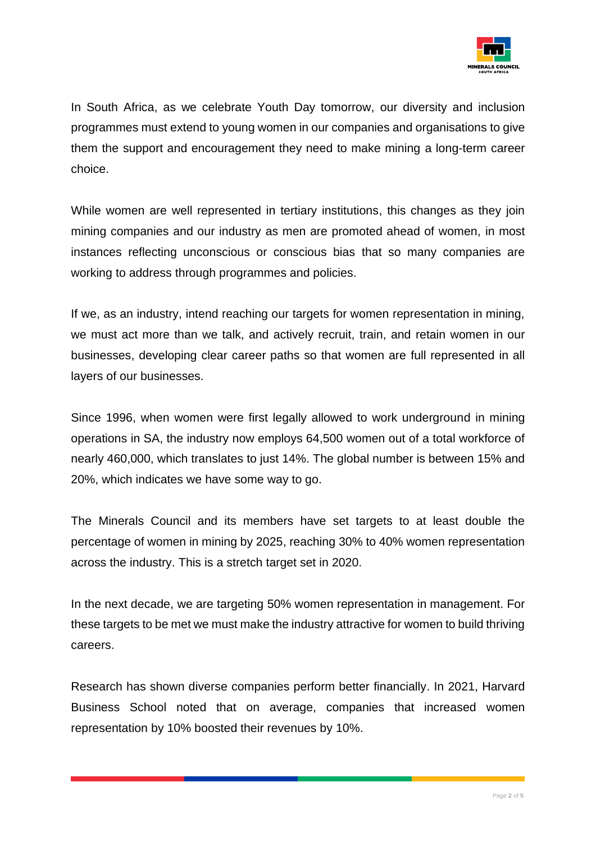

In South Africa, as we celebrate Youth Day tomorrow, our diversity and inclusion programmes must extend to young women in our companies and organisations to give them the support and encouragement they need to make mining a long-term career choice.

While women are well represented in tertiary institutions, this changes as they join mining companies and our industry as men are promoted ahead of women, in most instances reflecting unconscious or conscious bias that so many companies are working to address through programmes and policies.

If we, as an industry, intend reaching our targets for women representation in mining, we must act more than we talk, and actively recruit, train, and retain women in our businesses, developing clear career paths so that women are full represented in all layers of our businesses.

Since 1996, when women were first legally allowed to work underground in mining operations in SA, the industry now employs 64,500 women out of a total workforce of nearly 460,000, which translates to just 14%. The global number is between 15% and 20%, which indicates we have some way to go.

The Minerals Council and its members have set targets to at least double the percentage of women in mining by 2025, reaching 30% to 40% women representation across the industry. This is a stretch target set in 2020.

In the next decade, we are targeting 50% women representation in management. For these targets to be met we must make the industry attractive for women to build thriving careers.

Research has shown diverse companies perform better financially. In 2021, Harvard Business School noted that on average, companies that increased women representation by 10% boosted their revenues by 10%.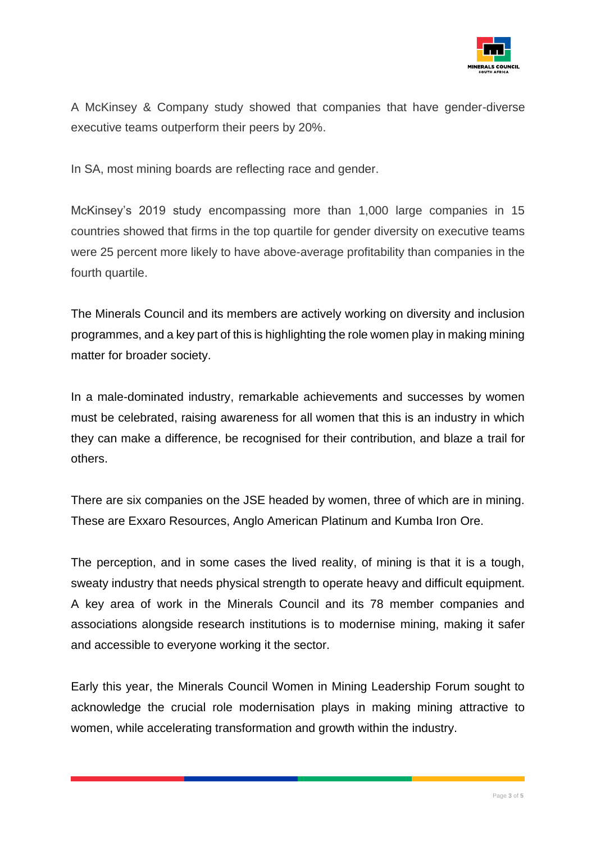

A McKinsey & Company study showed that companies that have gender-diverse executive teams outperform their peers by 20%.

In SA, most mining boards are reflecting race and gender.

McKinsey's 2019 study encompassing more than 1,000 large companies in 15 countries showed that firms in the top quartile for gender diversity on executive teams were 25 percent more likely to have above-average profitability than companies in the fourth quartile.

The Minerals Council and its members are actively working on diversity and inclusion programmes, and a key part of this is highlighting the role women play in making mining matter for broader society.

In a male-dominated industry, remarkable achievements and successes by women must be celebrated, raising awareness for all women that this is an industry in which they can make a difference, be recognised for their contribution, and blaze a trail for others.

There are six companies on the JSE headed by women, three of which are in mining. These are Exxaro Resources, Anglo American Platinum and Kumba Iron Ore.

The perception, and in some cases the lived reality, of mining is that it is a tough, sweaty industry that needs physical strength to operate heavy and difficult equipment. A key area of work in the Minerals Council and its 78 member companies and associations alongside research institutions is to modernise mining, making it safer and accessible to everyone working it the sector.

Early this year, the Minerals Council Women in Mining Leadership Forum sought to acknowledge the crucial role modernisation plays in making mining attractive to women, while accelerating transformation and growth within the industry.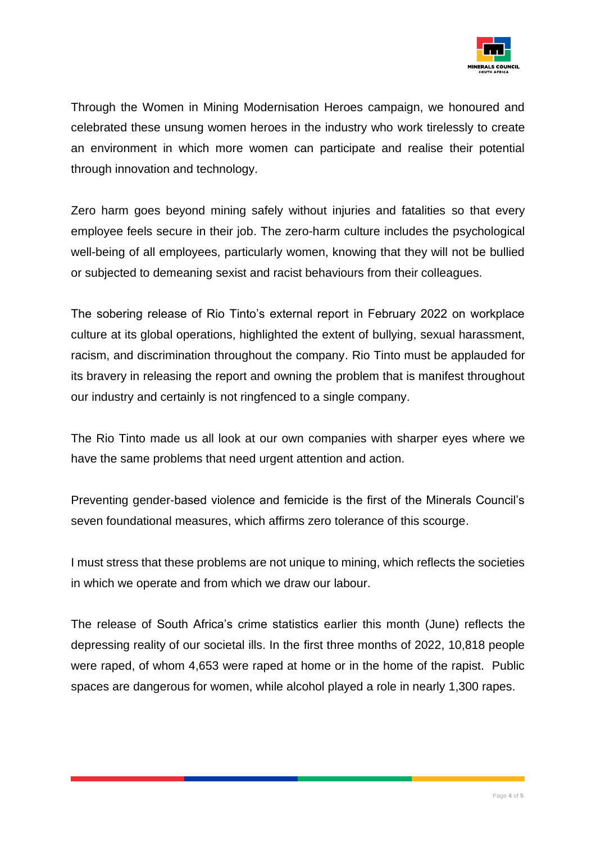

Through the Women in Mining Modernisation Heroes campaign, we honoured and celebrated these unsung women heroes in the industry who work tirelessly to create an environment in which more women can participate and realise their potential through innovation and technology.

Zero harm goes beyond mining safely without injuries and fatalities so that every employee feels secure in their job. The zero-harm culture includes the psychological well-being of all employees, particularly women, knowing that they will not be bullied or subjected to demeaning sexist and racist behaviours from their colleagues.

The sobering release of Rio Tinto's external report in February 2022 on workplace culture at its global operations, highlighted the extent of bullying, sexual harassment, racism, and discrimination throughout the company. Rio Tinto must be applauded for its bravery in releasing the report and owning the problem that is manifest throughout our industry and certainly is not ringfenced to a single company.

The Rio Tinto made us all look at our own companies with sharper eyes where we have the same problems that need urgent attention and action.

Preventing gender-based violence and femicide is the first of the Minerals Council's seven foundational measures, which affirms zero tolerance of this scourge.

I must stress that these problems are not unique to mining, which reflects the societies in which we operate and from which we draw our labour.

The release of South Africa's crime statistics earlier this month (June) reflects the depressing reality of our societal ills. In the first three months of 2022, 10,818 people were raped, of whom 4,653 were raped at home or in the home of the rapist. Public spaces are dangerous for women, while alcohol played a role in nearly 1,300 rapes.